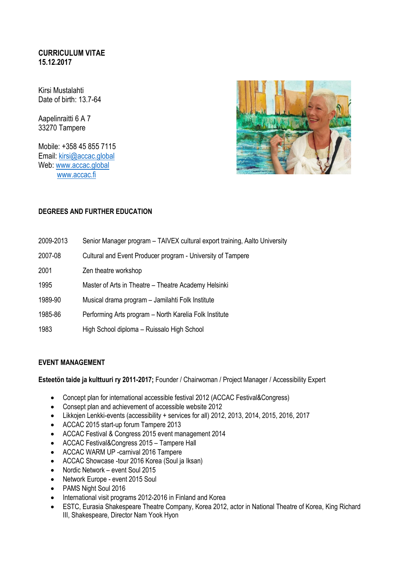# **CURRICULUM VITAE 15.12.2017**

Kirsi Mustalahti Date of birth: 13.7-64

Aapelinraitti 6 A 7 33270 Tampere

Mobile: +358 45 855 7115 Email: [kirsi@accac.global](mailto:kirsi@accac.global) Web: [www.accac.global](http://www.accac.global/) [www.accac.fi](http://www.accac.fi/)



# **DEGREES AND FURTHER EDUCATION**

| 2009-2013 | Senior Manager program - TAIVEX cultural export training, Aalto University |
|-----------|----------------------------------------------------------------------------|
| 2007-08   | Cultural and Event Producer program - University of Tampere                |
| 2001      | Zen theatre workshop                                                       |
| 1995      | Master of Arts in Theatre – Theatre Academy Helsinki                       |
| 1989-90   | Musical drama program - Jamilahti Folk Institute                           |
| 1985-86   | Performing Arts program - North Karelia Folk Institute                     |
| 1983      | High School diploma - Ruissalo High School                                 |

#### **EVENT MANAGEMENT**

**Esteetön taide ja kulttuuri ry 2011-2017;** Founder / Chairwoman / Project Manager / Accessibility Expert

- Concept plan for international accessible festival 2012 (ACCAC Festival&Congress)
- Consept plan and achievement of accessible website 2012
- Likkojen Lenkki-events (accessibility + services for all) 2012, 2013, 2014, 2015, 2016, 2017
- ACCAC 2015 start-up forum Tampere 2013
- ACCAC Festival & Congress 2015 event management 2014
- ACCAC Festival&Congress 2015 Tampere Hall
- ACCAC WARM UP -carnival 2016 Tampere
- ACCAC Showcase -tour 2016 Korea (Soul ja Iksan)
- Nordic Network event Soul 2015
- Network Europe event 2015 Soul
- PAMS Night Soul 2016
- International visit programs 2012-2016 in Finland and Korea
- ESTC, Eurasia Shakespeare Theatre Company, Korea 2012, actor in National Theatre of Korea, King Richard III, Shakespeare, Director Nam Yook Hyon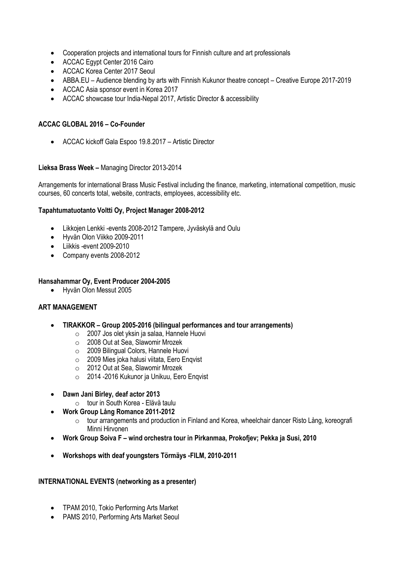- Cooperation projects and international tours for Finnish culture and art professionals
- ACCAC Egypt Center 2016 Cairo
- ACCAC Korea Center 2017 Seoul
- ABBA.EU Audience blending by arts with Finnish Kukunor theatre concept Creative Europe 2017-2019
- ACCAC Asia sponsor event in Korea 2017
- ACCAC showcase tour India-Nepal 2017, Artistic Director & accessibility

# **ACCAC GLOBAL 2016 – Co-Founder**

• ACCAC kickoff Gala Espoo 19.8.2017 – Artistic Director

### **Lieksa Brass Week –** Managing Director 2013-2014

Arrangements for international Brass Music Festival including the finance, marketing, international competition, music courses, 60 concerts total, website, contracts, employees, accessibility etc.

### **Tapahtumatuotanto Voltti Oy, Project Manager 2008-2012**

- Likkojen Lenkki -events 2008-2012 Tampere, Jyväskylä and Oulu
- Hyvän Olon Viikko 2009-2011
- Liikkis -event 2009-2010
- Company events 2008-2012

### **Hansahammar Oy, Event Producer 2004-2005**

• Hyvän Olon Messut 2005

### **ART MANAGEMENT**

- **TIRAKKOR – Group 2005-2016 (bilingual performances and tour arrangements)**
	- o 2007 Jos olet yksin ja salaa, Hannele Huovi
	- o 2008 Out at Sea, Slawomir Mrozek
	- o 2009 Bilingual Colors, Hannele Huovi
	- o 2009 Mies joka halusi viitata, Eero Enqvist
	- o 2012 Out at Sea, Slawomir Mrozek
	- o 2014 -2016 Kukunor ja Unikuu, Eero Enqvist
- **Dawn Jani Birley, deaf actor 2013**
	- o tour in South Korea Elävä taulu
- **Work Group Lång Romance 2011-2012**
	- o tour arrangements and production in Finland and Korea, wheelchair dancer Risto Lång, koreografi Minni Hirvonen
- **Work Group Soiva F – wind orchestra tour in Pirkanmaa, Prokofjev; Pekka ja Susi, 2010**
- **Workshops with deaf youngsters Törmäys -FILM, 2010-2011**

### **INTERNATIONAL EVENTS (networking as a presenter)**

- TPAM 2010, Tokio Performing Arts Market
- PAMS 2010, Performing Arts Market Seoul